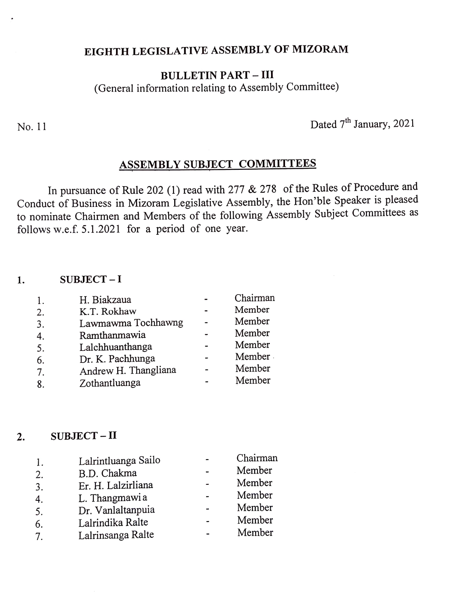## EIGHTH LEGISLATIVE ASSEMBLY OF MIZORAM

## **BULLETIN PART - III** (General information relating to Assembly Committee)

No. 11 Dated  $7<sup>th</sup>$  January, 2021

## ASSEMBLY SUBJECT COMMITTEES

In pursuance of Rule 202 (1) read with 277 & 278 of the Rules of Procedure and Conduct of Business in Mizoram Legislative Assembly, the Hon'ble Speaker is pleased to nominate Chairmen and Members of the following Assembly Subject Committees as follows w.e.f. 5.1.2021 for a period of one year.

#### 1.  $SUBJECT-I$

| 1. | H. Biakzaua          | Chairman |
|----|----------------------|----------|
| 2. | K.T. Rokhaw          | Member   |
| 3. | Lawmawma Tochhawng   | Member   |
| 4. | Ramthanmawia         | Member   |
| 5. | Lalchhuanthanga      | Member   |
| 6. | Dr. K. Pachhunga     | Member   |
| 7. | Andrew H. Thangliana | Member   |
| 8. | Zothantluanga        | Member   |
|    |                      |          |

### 2. SUBJECT-II

| 1. | Lalrintluanga Sailo | Chairman |
|----|---------------------|----------|
| 2. | B.D. Chakma         | Member   |
| 3. | Er. H. Lalzirliana  | Member   |
| 4. | L. Thangmawia       | Member   |
| 5. | Dr. Vanlaltanpuia   | Member   |
| 6. | Lalrindika Ralte    | Member   |
| 7. | Lalrinsanga Ralte   | Member   |
|    |                     |          |